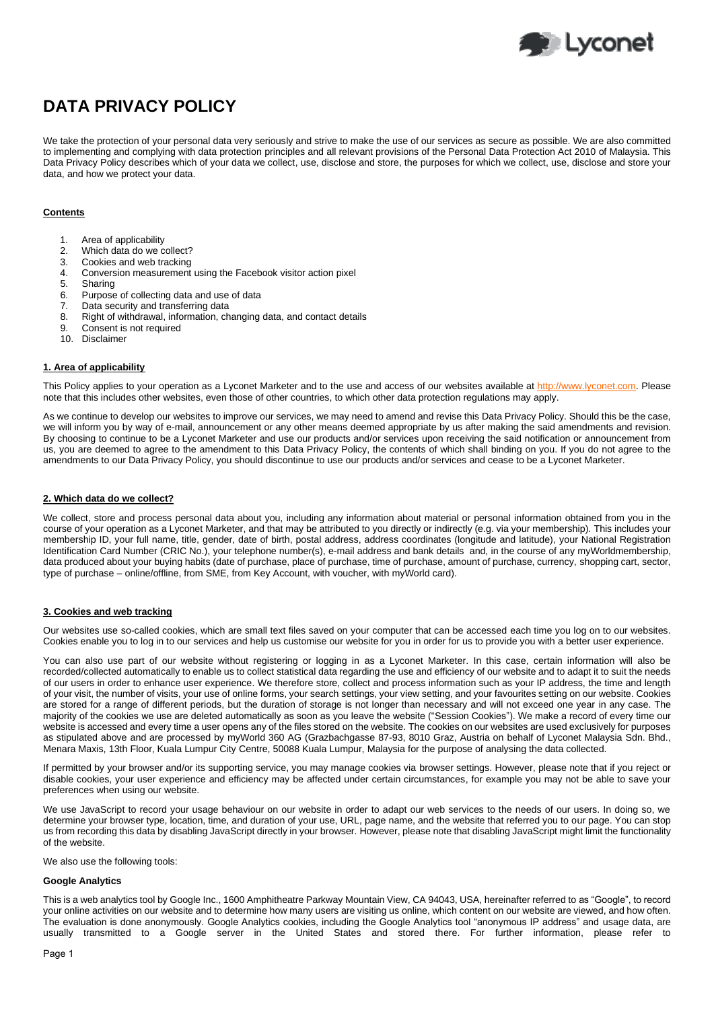

# **DATA PRIVACY POLICY**

We take the protection of your personal data very seriously and strive to make the use of our services as secure as possible. We are also committed to implementing and complying with data protection principles and all relevant provisions of the Personal Data Protection Act 2010 of Malaysia. This Data Privacy Policy describes which of your data we collect, use, disclose and store, the purposes for which we collect, use, disclose and store your data, and how we protect your data.

## **Contents**

- 1. Area of applicability
- 2. Which data do we collect?
- 3. Cookies and web tracking<br>4. Conversion measurement
- 4. Conversion measurement using the Facebook visitor action pixel
- 5. Sharing
- 6. Purpose of collecting data and use of data
- 7. Data security and transferring data
- Right of withdrawal, information, changing data, and contact details
- 9. Consent is not required
- 10. Disclaimer

# **1. Area of applicability**

This Policy applies to your operation as a Lyconet Marketer and to the use and access of our websites available at [http://www.lyconet.com.](http://www.lyconet.com/) Please note that this includes other websites, even those of other countries, to which other data protection regulations may apply.

As we continue to develop our websites to improve our services, we may need to amend and revise this Data Privacy Policy. Should this be the case, we will inform you by way of e-mail, announcement or any other means deemed appropriate by us after making the said amendments and revision. By choosing to continue to be a Lyconet Marketer and use our products and/or services upon receiving the said notification or announcement from us, you are deemed to agree to the amendment to this Data Privacy Policy, the contents of which shall binding on you. If you do not agree to the amendments to our Data Privacy Policy, you should discontinue to use our products and/or services and cease to be a Lyconet Marketer.

## **2. Which data do we collect?**

We collect, store and process personal data about you, including any information about material or personal information obtained from you in the course of your operation as a Lyconet Marketer, and that may be attributed to you directly or indirectly (e.g. via your membership). This includes your membership ID, your full name, title, gender, date of birth, postal address, address coordinates (longitude and latitude), your National Registration Identification Card Number (CRIC No.), your telephone number(s), e-mail address and bank details and, in the course of any myWorldmembership, data produced about your buying habits (date of purchase, place of purchase, time of purchase, amount of purchase, currency, shopping cart, sector, type of purchase – online/offline, from SME, from Key Account, with voucher, with myWorld card).

## **3. Cookies and web tracking**

Our websites use so-called cookies, which are small text files saved on your computer that can be accessed each time you log on to our websites. Cookies enable you to log in to our services and help us customise our website for you in order for us to provide you with a better user experience.

You can also use part of our website without registering or logging in as a Lyconet Marketer. In this case, certain information will also be recorded/collected automatically to enable us to collect statistical data regarding the use and efficiency of our website and to adapt it to suit the needs of our users in order to enhance user experience. We therefore store, collect and process information such as your IP address, the time and length of your visit, the number of visits, your use of online forms, your search settings, your view setting, and your favourites setting on our website. Cookies are stored for a range of different periods, but the duration of storage is not longer than necessary and will not exceed one year in any case. The majority of the cookies we use are deleted automatically as soon as you leave the website ("Session Cookies"). We make a record of every time our website is accessed and every time a user opens any of the files stored on the website. The cookies on our websites are used exclusively for purposes as stipulated above and are processed by myWorld 360 AG (Grazbachgasse 87-93, 8010 Graz, Austria on behalf of Lyconet Malaysia Sdn. Bhd., Menara Maxis, 13th Floor, Kuala Lumpur City Centre, 50088 Kuala Lumpur, Malaysia for the purpose of analysing the data collected.

If permitted by your browser and/or its supporting service, you may manage cookies via browser settings. However, please note that if you reject or disable cookies, your user experience and efficiency may be affected under certain circumstances, for example you may not be able to save your preferences when using our website.

We use JavaScript to record your usage behaviour on our website in order to adapt our web services to the needs of our users. In doing so, we determine your browser type, location, time, and duration of your use, URL, page name, and the website that referred you to our page. You can stop us from recording this data by disabling JavaScript directly in your browser. However, please note that disabling JavaScript might limit the functionality of the website.

We also use the following tools:

#### **Google Analytics**

This is a web analytics tool by Google Inc., 1600 Amphitheatre Parkway Mountain View, CA 94043, USA, hereinafter referred to as "Google", to record your online activities on our website and to determine how many users are visiting us online, which content on our website are viewed, and how often. The evaluation is done anonymously. Google Analytics cookies, including the Google Analytics tool "anonymous IP address" and usage data, are usually transmitted to a Google server in the United States and stored there. For further information, please refer to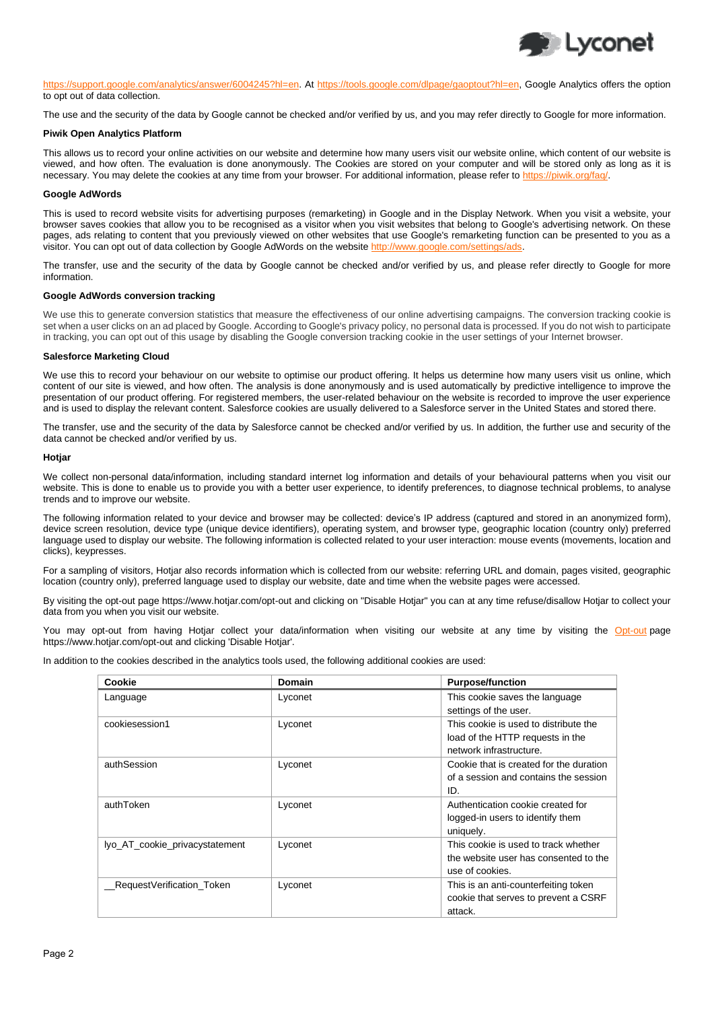

[https://support.google.com/analytics/answer/6004245?hl=en.](https://support.google.com/analytics/answer/6004245?hl=en) At [https://tools.google.com/dlpage/gaoptout?hl=en,](https://tools.google.com/dlpage/gaoptout?hl=en) Google Analytics offers the option to opt out of data collection.

The use and the security of the data by Google cannot be checked and/or verified by us, and you may refer directly to Google for more information.

#### **Piwik Open Analytics Platform**

This allows us to record your online activities on our website and determine how many users visit our website online, which content of our website is viewed, and how often. The evaluation is done anonymously. The Cookies are stored on your computer and will be stored only as long as it is necessary. You may delete the cookies at any time from your browser. For additional information, please refer to [https://piwik.org/faq/.](https://piwik.org/faq/)

#### **Google AdWords**

This is used to record website visits for advertising purposes (remarketing) in Google and in the Display Network. When you visit a website, your browser saves cookies that allow you to be recognised as a visitor when you visit websites that belong to Google's advertising network. On these pages, ads relating to content that you previously viewed on other websites that use Google's remarketing function can be presented to you as a visitor. You can opt out of data collection by Google AdWords on the website http://www.google.

The transfer, use and the security of the data by Google cannot be checked and/or verified by us, and please refer directly to Google for more information.

#### **Google AdWords conversion tracking**

We use this to generate conversion statistics that measure the effectiveness of our online advertising campaigns. The conversion tracking cookie is set when a user clicks on an ad placed by Google. According to Google's privacy policy, no personal data is processed. If you do not wish to participate in tracking, you can opt out of this usage by disabling the Google conversion tracking cookie in the user settings of your Internet browser.

#### **Salesforce Marketing Cloud**

We use this to record your behaviour on our website to optimise our product offering. It helps us determine how many users visit us online, which content of our site is viewed, and how often. The analysis is done anonymously and is used automatically by predictive intelligence to improve the presentation of our product offering. For registered members, the user-related behaviour on the website is recorded to improve the user experience and is used to display the relevant content. Salesforce cookies are usually delivered to a Salesforce server in the United States and stored there.

The transfer, use and the security of the data by Salesforce cannot be checked and/or verified by us. In addition, the further use and security of the data cannot be checked and/or verified by us.

#### **Hotjar**

We collect non-personal data/information, including standard internet log information and details of your behavioural patterns when you visit our website. This is done to enable us to provide you with a better user experience, to identify preferences, to diagnose technical problems, to analyse trends and to improve our website.

The following information related to your device and browser may be collected: device's IP address (captured and stored in an anonymized form), device screen resolution, device type (unique device identifiers), operating system, and browser type, geographic location (country only) preferred language used to display our website. The following information is collected related to your user interaction: mouse events (movements, location and clicks), keypresses.

For a sampling of visitors, Hotjar also records information which is collected from our website: referring URL and domain, pages visited, geographic location (country only), preferred language used to display our website, date and time when the website pages were accessed.

By visiting the opt-out page https://www.hotjar.com/opt-out and clicking on "Disable Hotjar" you can at any time refuse/disallow Hotjar to collect your data from you when you visit our website.

You may opt-out from having Hotjar collect your data/information when visiting our website at any time by visiting the [Opt-out](https://www.hotjar.com/opt-out) page https://www.hotjar.com/opt-out and clicking 'Disable Hotjar'.

In addition to the cookies described in the analytics tools used, the following additional cookies are used:

| Cookie                         | <b>Domain</b> | <b>Purpose/function</b>                                                                              |
|--------------------------------|---------------|------------------------------------------------------------------------------------------------------|
| Language                       | Lyconet       | This cookie saves the language<br>settings of the user.                                              |
| cookiesession1                 | Lyconet       | This cookie is used to distribute the<br>load of the HTTP requests in the<br>network infrastructure. |
| authSession                    | Lyconet       | Cookie that is created for the duration<br>of a session and contains the session<br>ID.              |
| authToken                      | Lyconet       | Authentication cookie created for<br>logged-in users to identify them<br>uniquely.                   |
| lyo_AT_cookie_privacystatement | Lyconet       | This cookie is used to track whether<br>the website user has consented to the<br>use of cookies.     |
| RequestVerification_Token_     | Lyconet       | This is an anti-counterfeiting token<br>cookie that serves to prevent a CSRF<br>attack.              |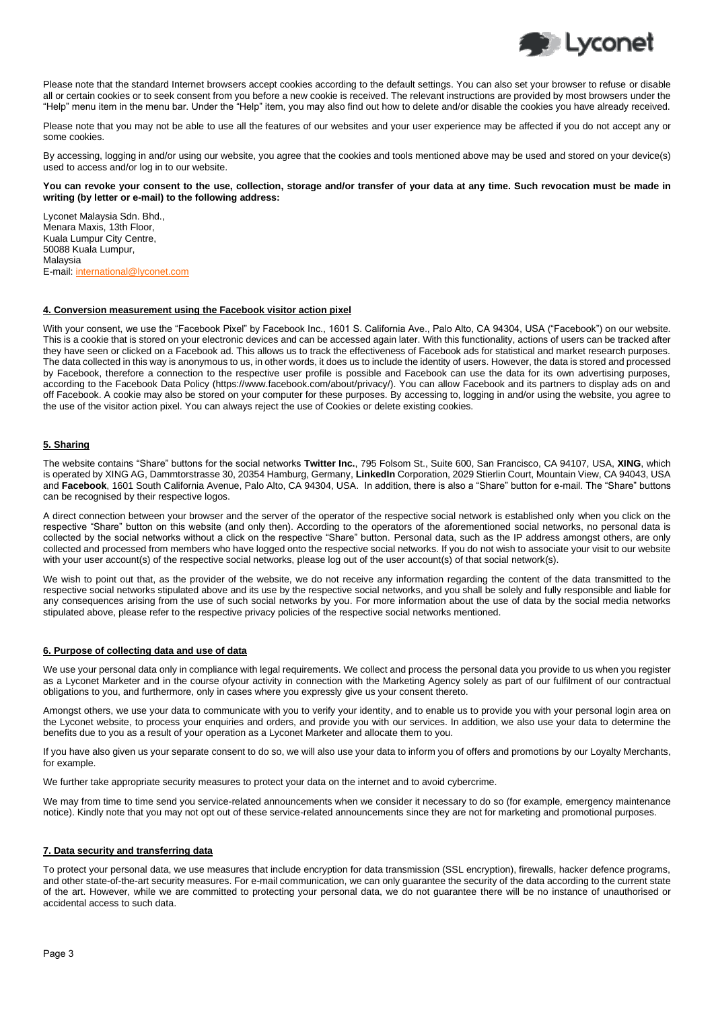

Please note that the standard Internet browsers accept cookies according to the default settings. You can also set your browser to refuse or disable all or certain cookies or to seek consent from you before a new cookie is received. The relevant instructions are provided by most browsers under the "Help" menu item in the menu bar. Under the "Help" item, you may also find out how to delete and/or disable the cookies you have already received.

Please note that you may not be able to use all the features of our websites and your user experience may be affected if you do not accept any or some cookies.

By accessing, logging in and/or using our website, you agree that the cookies and tools mentioned above may be used and stored on your device(s) used to access and/or log in to our website.

#### **You can revoke your consent to the use, collection, storage and/or transfer of your data at any time. Such revocation must be made in writing (by letter or e-mail) to the following address:**

Lyconet Malaysia Sdn. Bhd., Menara Maxis, 13th Floor, Kuala Lumpur City Centre, 50088 Kuala Lumpur, Malaysia E-mail: [international@lyconet.com](mailto:international@lyconet.com)

## **4. Conversion measurement using the Facebook visitor action pixel**

With your consent, we use the "Facebook Pixel" by Facebook Inc., 1601 S. California Ave., Palo Alto, CA 94304, USA ("Facebook") on our website. This is a cookie that is stored on your electronic devices and can be accessed again later. With this functionality, actions of users can be tracked after they have seen or clicked on a Facebook ad. This allows us to track the effectiveness of Facebook ads for statistical and market research purposes. The data collected in this way is anonymous to us, in other words, it does us to include the identity of users. However, the data is stored and processed by Facebook, therefore a connection to the respective user profile is possible and Facebook can use the data for its own advertising purposes, according to the Facebook Data Policy (https://www.facebook.com/about/privacy/). You can allow Facebook and its partners to display ads on and off Facebook. A cookie may also be stored on your computer for these purposes. By accessing to, logging in and/or using the website, you agree to the use of the visitor action pixel. You can always reject the use of Cookies or delete existing cookies.

# **5. Sharing**

The website contains "Share" buttons for the social networks **Twitter Inc.**, 795 Folsom St., Suite 600, San Francisco, CA 94107, USA, **XING**, which is operated by XING AG, Dammtorstrasse 30, 20354 Hamburg, Germany, **LinkedIn** Corporation, 2029 Stierlin Court, Mountain View, CA 94043, USA and **Facebook**, 1601 South California Avenue, Palo Alto, CA 94304, USA. In addition, there is also a "Share" button for e-mail. The "Share" buttons can be recognised by their respective logos.

A direct connection between your browser and the server of the operator of the respective social network is established only when you click on the respective "Share" button on this website (and only then). According to the operators of the aforementioned social networks, no personal data is collected by the social networks without a click on the respective "Share" button. Personal data, such as the IP address amongst others, are only collected and processed from members who have logged onto the respective social networks. If you do not wish to associate your visit to our website with your user account(s) of the respective social networks, please log out of the user account(s) of that social network(s).

We wish to point out that, as the provider of the website, we do not receive any information regarding the content of the data transmitted to the respective social networks stipulated above and its use by the respective social networks, and you shall be solely and fully responsible and liable for any consequences arising from the use of such social networks by you. For more information about the use of data by the social media networks stipulated above, please refer to the respective privacy policies of the respective social networks mentioned.

# **6. Purpose of collecting data and use of data**

We use your personal data only in compliance with legal requirements. We collect and process the personal data you provide to us when you register as a Lyconet Marketer and in the course ofyour activity in connection with the Marketing Agency solely as part of our fulfilment of our contractual obligations to you, and furthermore, only in cases where you expressly give us your consent thereto.

Amongst others, we use your data to communicate with you to verify your identity, and to enable us to provide you with your personal login area on the Lyconet website, to process your enquiries and orders, and provide you with our services. In addition, we also use your data to determine the benefits due to you as a result of your operation as a Lyconet Marketer and allocate them to you.

If you have also given us your separate consent to do so, we will also use your data to inform you of offers and promotions by our Loyalty Merchants, for example.

We further take appropriate security measures to protect your data on the internet and to avoid cybercrime.

We may from time to time send you service-related announcements when we consider it necessary to do so (for example, emergency maintenance notice). Kindly note that you may not opt out of these service-related announcements since they are not for marketing and promotional purposes.

## **7. Data security and transferring data**

To protect your personal data, we use measures that include encryption for data transmission (SSL encryption), firewalls, hacker defence programs, and other state-of-the-art security measures. For e-mail communication, we can only guarantee the security of the data according to the current state of the art. However, while we are committed to protecting your personal data, we do not guarantee there will be no instance of unauthorised or accidental access to such data.